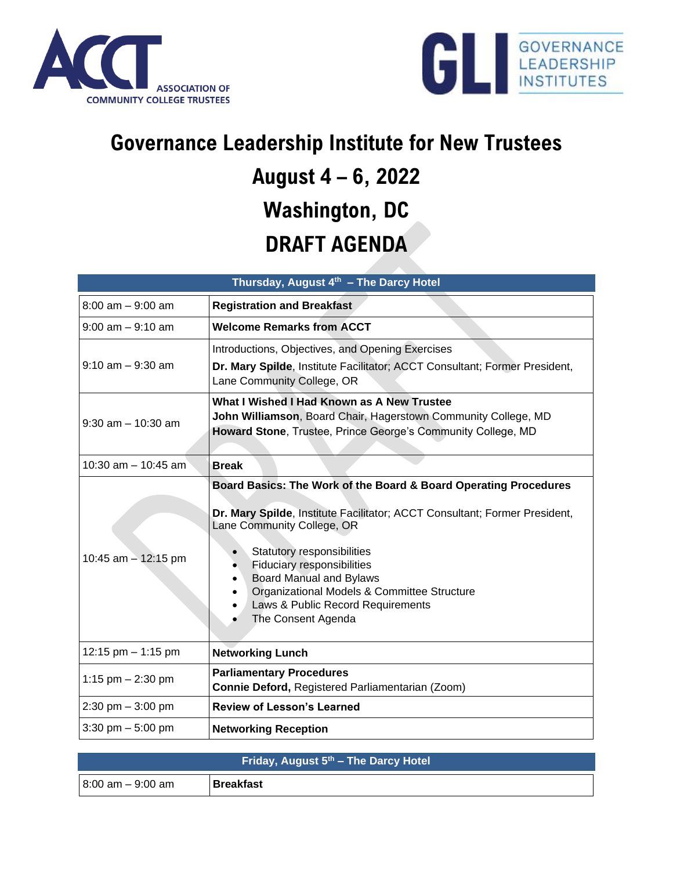



## **Governance Leadership Institute for New Trustees August 4 – 6, 2022 Washington, DC DRAFT AGENDA**

| Thursday, August 4th - The Darcy Hotel |                                                                                                                                                                                                                                                                                                                                                                                                          |  |
|----------------------------------------|----------------------------------------------------------------------------------------------------------------------------------------------------------------------------------------------------------------------------------------------------------------------------------------------------------------------------------------------------------------------------------------------------------|--|
| $8:00$ am $-9:00$ am                   | <b>Registration and Breakfast</b>                                                                                                                                                                                                                                                                                                                                                                        |  |
| $9:00$ am $-9:10$ am                   | <b>Welcome Remarks from ACCT</b>                                                                                                                                                                                                                                                                                                                                                                         |  |
| $9:10$ am $-9:30$ am                   | Introductions, Objectives, and Opening Exercises<br>Dr. Mary Spilde, Institute Facilitator; ACCT Consultant; Former President,<br>Lane Community College, OR                                                                                                                                                                                                                                             |  |
| $9:30$ am $-10:30$ am                  | What I Wished I Had Known as A New Trustee<br>John Williamson, Board Chair, Hagerstown Community College, MD<br>Howard Stone, Trustee, Prince George's Community College, MD                                                                                                                                                                                                                             |  |
| 10:30 am $-$ 10:45 am                  | <b>Break</b>                                                                                                                                                                                                                                                                                                                                                                                             |  |
| 10:45 am $-$ 12:15 pm                  | Board Basics: The Work of the Board & Board Operating Procedures<br>Dr. Mary Spilde, Institute Facilitator; ACCT Consultant; Former President,<br>Lane Community College, OR<br>Statutory responsibilities<br>$\bullet$<br><b>Fiduciary responsibilities</b><br><b>Board Manual and Bylaws</b><br>Organizational Models & Committee Structure<br>Laws & Public Record Requirements<br>The Consent Agenda |  |
| 12:15 pm - 1:15 pm                     | <b>Networking Lunch</b>                                                                                                                                                                                                                                                                                                                                                                                  |  |
| 1:15 pm $- 2:30$ pm                    | <b>Parliamentary Procedures</b><br>Connie Deford, Registered Parliamentarian (Zoom)                                                                                                                                                                                                                                                                                                                      |  |
| $2:30$ pm $-3:00$ pm                   | <b>Review of Lesson's Learned</b>                                                                                                                                                                                                                                                                                                                                                                        |  |
| $3:30$ pm $-5:00$ pm                   | <b>Networking Reception</b>                                                                                                                                                                                                                                                                                                                                                                              |  |

| Friday, August 5th - The Darcy Hotel |                  |  |
|--------------------------------------|------------------|--|
| $8:00$ am $-9:00$ am                 | <b>Breakfast</b> |  |